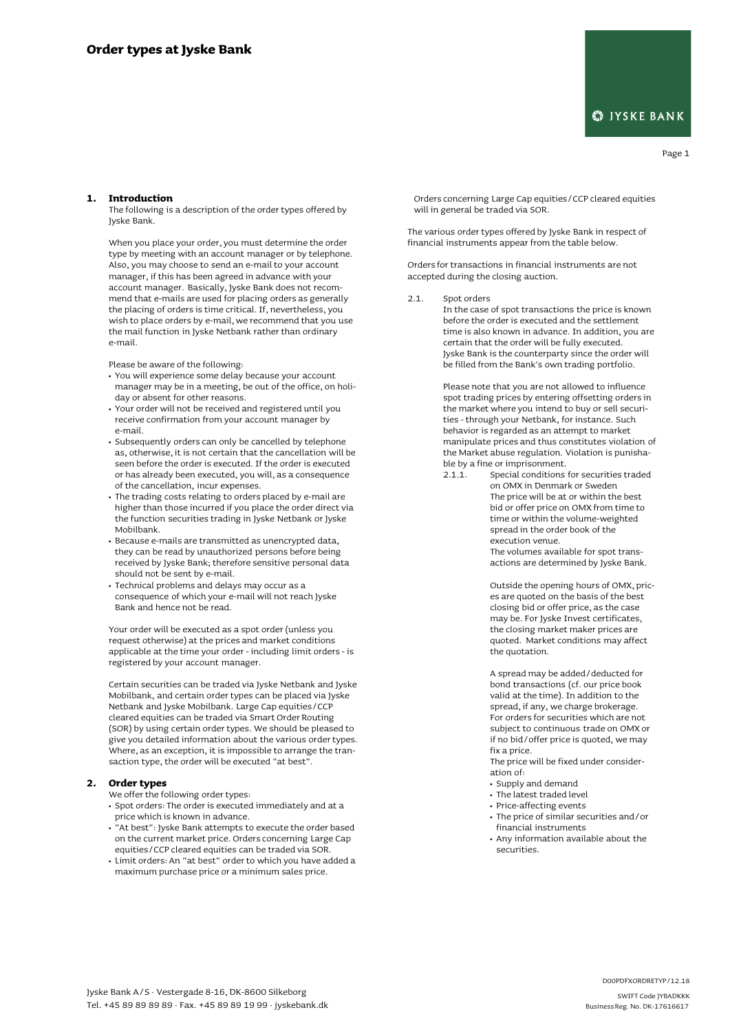## **S**IYSKE BANK

Page 1

## **1. Introduction**

The following is a description of the order types offered by Jyske Bank.

When you place your order, you must determine the order type by meeting with an account manager or by telephone. Also, you may choose to send an e-mail to your account manager, if this has been agreed in advance with your account manager. Basically, Jyske Bank does not recommend that e-mails are used for placing orders as generally the placing of orders is time critical. If, nevertheless, you wish to place orders by e-mail, we recommend that you use the mail function in Jyske Netbank rather than ordinary e-mail.

Please be aware of the following:

- **•** You will experience some delay because your account manager may be in a meeting, be out of the office, on holiday or absent for other reasons.
- **•** Your order will not be received and registered until you receive confirmation from your account manager by e-mail.
- **•** Subsequently orders can only be cancelled by telephone as, otherwise, it is not certain that the cancellation will be seen before the order is executed. If the order is executed or has already been executed, you will, as a consequence of the cancellation, incur expenses.
- **•** The trading costs relating to orders placed by e-mail are higher than those incurred if you place the order direct via the function securities trading in Jyske Netbank or Jyske Mobilbank.
- **•** Because e-mails are transmitted as unencrypted data, they can be read by unauthorized persons before being received by Jyske Bank; therefore sensitive personal data should not be sent by e-mail.
- **•** Technical problems and delays may occur as a consequence of which your e-mail will not reach Jyske Bank and hence not be read.

Your order will be executed as a spot order (unless you request otherwise) at the prices and market conditions applicable at the time your order - including limit orders - is registered by your account manager.

Certain securities can be traded via Jyske Netbank and Jyske Mobilbank, and certain order types can be placed via Jyske Netbank and Jyske Mobilbank. Large Cap equities/CCP cleared equities can be traded via Smart Order Routing (SOR) by using certain order types. We should be pleased to give you detailed information about the various order types.  $\check{\mathsf{w}}$ here, as an exception, it is impossible to arrange the transaction type, the order will be executed "at best".

## **2. Order types**

We offer the following order types:

- **•** Spot orders: The order is executed immediately and at a price which is known in advance.
- **•** "At best": Jyske Bank attempts to execute the order based on the current market price. Orders concerning Large Cap equities/CCP cleared equities can be traded via SOR.
- **•** Limit orders: An "at best" order to which you have added a maximum purchase price or a minimum sales price.

Orders concerning Large Cap equities/CCP cleared equities will in general be traded via SOR.

The various order types offered by Jyske Bank in respect of financial instruments appear from the table below.

Orders for transactions in financial instruments are not accepted during the closing auction.

2.1. Spot orders In the case of spot transactions the price is known before the order is executed and the settlement time is also known in advance. In addition, you are certain that the order will be fully executed. Jyske Bank is the counterparty since the order will be filled from the Bank's own trading portfolio.

> Please note that you are not allowed to influence spot trading prices by entering offsetting orders in the market where you intend to buy or sell securities - through your Netbank, for instance. Such behavior is regarded as an attempt to market manipulate prices and thus constitutes violation of the Market abuse regulation. Violation is punishable by a fine or imprisonment.<br>2.1.1. Special conditions

Special conditions for securities traded on OMX in Denmark or Sweden The price will be at or within the best bid or offer price on OMX from time to time or within the volume-weighted spread in the order book of the execution venue.

> The volumes available for spot transactions are determined by Jyske Bank.

Outside the opening hours of OMX, prices are quoted on the basis of the best closing bid or offer price, as the case may be. For Jyske Invest certificates, the closing market maker prices are quoted. Market conditions may affect the quotation.

A spread may be added/deducted for bond transactions (cf. our price book valid at the time). In addition to the spread, if any, we charge brokerage. For orders for securities which are not subject to continuous trade on OMX or if no bid/offer price is quoted, we may fix a price.

The price will be fixed under consideration of:

- **•** Supply and demand
- **•** The latest traded level
- **•** Price-affecting events
- **•** The price of similar securities and/or financial instruments
- **•** Any information available about the securities.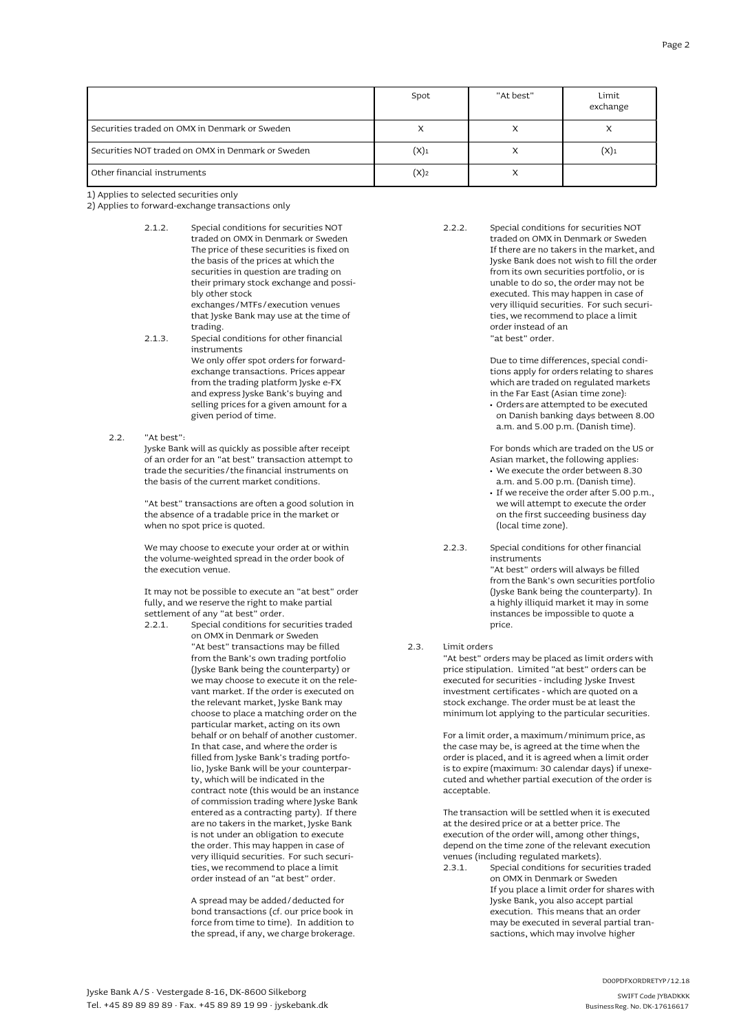|                                                     | Spot               | "At best" | Limit<br>exchange |
|-----------------------------------------------------|--------------------|-----------|-------------------|
| securities traded on OMX in Denmark or Sweden       |                    | X         |                   |
| securities NOT traded on OMX in Denmark or Sweden [ | $(X)$ <sub>1</sub> | x         | (X)               |
| Other financial instruments                         | $(X)_2$            | χ         |                   |

1) Applies to selected securities only

2) Applies to forward-exchange transactions only

- 2.1.2. Special conditions for securities NOT traded on OMX in Denmark or Sweden The price of these securities is fixed on the basis of the prices at which the securities in question are trading on their primary stock exchange and possibly other stock exchanges/MTFs/execution venues that Jyske Bank may use at the time of trading. 2.1.3. Special conditions for other financial
- instruments We only offer spot orders for forwardexchange transactions. Prices appear from the trading platform Jyske e-FX and express Jyske Bank's buying and selling prices for a given amount for a given period of time.
- 2.2. "At best":

Jyske Bank will as quickly as possible after receipt of an order for an "at best" transaction attempt to trade the securities/the financial instruments on the basis of the current market conditions.

"At best" transactions are often a good solution in the absence of a tradable price in the market or when no spot price is quoted.

We may choose to execute your order at or within the volume-weighted spread in the order book of the execution venue.

It may not be possible to execute an "at best" order fully, and we reserve the right to make partial settlement of any "at best" order.<br>2.2.1 Special conditions for  $s$ 

2.2.1. Specialconditions for securities traded on OMX in Denmark or Sweden "At best" transactions may be filled from the Bank's own trading portfolio (Jyske Bank being the counterparty) or we may choose to execute it on the relevant market. If the order is executed on the relevant market, Jyske Bank may choose to place a matching order on the particular market, acting on its own behalf or on behalf of another customer. In that case, and where the order is filled from Jyske Bank's trading portfolio, Jyske Bank will be your counterparty, which will be indicated in the contract note (this would be an instance of commission trading where Jyske Bank entered as a contracting party). If there are no takers in the market, Jyske Bank is not under an obligation to execute the order. This may happen in case of very illiquid securities. For such securities, we recommend to place a limit order instead of an "at best" order.

> A spread may be added/deducted for bond transactions (cf. our price book in force from time to time). In addition to the spread, if any, we charge brokerage.

2.2.2. Special conditions for securities NOT traded on OMX in Denmark or Sweden If there are no takers in the market, and Jyske Bank does not wish to fill the order from its own securities portfolio, or is unable to do so, the order may not be executed. This may happen in case of very illiquid securities. For such securities, we recommend to place a limit order instead of an "at best" order.

> Due to time differences, special conditions apply for orders relating to shares which are traded on regulated markets in the Far East (Asian time zone):

**•** Orders are attempted to be executed on Danish banking days between 8.00 a.m. and 5.00 p.m. (Danish time).

For bonds which are traded on the US or Asian market, the following applies:

- **•** We execute the order between 8.30 a.m. and 5.00 p.m. (Danish time).
- **•** If we receive the order after 5.00 p.m., we will attempt to execute the order on the first succeeding business day (local time zone).
- 2.2.3. Special conditions for other financial instruments "At best" orderswill always be filled from the Bank's own securities portfolio (Jyske Bank being the counterparty). In a highly illiquid market it may in some instances be impossible to quote a price.

2.3. Limit orders

"At best" orders may be placed as limit orders with price stipulation. Limited "at best" orders can be executed for securities - including Jyske Invest investment certificates - which are quoted on a stock exchange. The order must be at least the minimum lot applying to the particular securities.

For a limit order, a maximum/minimum price, as the case may be, is agreed at the time when the order is placed, and it is agreed when a limit order is to expire (maximum: 30 calendar days) if unexecuted and whether partial execution of the order is acceptable.

The transaction will be settled when it is executed at the desired price or at a better price. The execution of the order will, among other things, depend on the time zone of the relevant execution venues (including regulated markets).

2.3.1. Special conditions for securities traded on OMX in Denmark or Sweden If you place a limit order for shares with Jyske Bank, you also accept partial execution. This means that an order may be executed in several partial transactions, which may involve higher

BusinessReg. No. DK-17616617